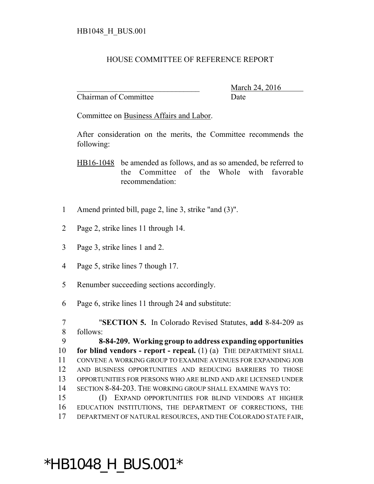## HOUSE COMMITTEE OF REFERENCE REPORT

Chairman of Committee Date

March 24, 2016

Committee on Business Affairs and Labor.

After consideration on the merits, the Committee recommends the following:

HB16-1048 be amended as follows, and as so amended, be referred to the Committee of the Whole with favorable recommendation:

- Amend printed bill, page 2, line 3, strike "and (3)".
- Page 2, strike lines 11 through 14.
- Page 3, strike lines 1 and 2.
- Page 5, strike lines 7 though 17.
- Renumber succeeding sections accordingly.
- Page 6, strike lines 11 through 24 and substitute:

 "**SECTION 5.** In Colorado Revised Statutes, **add** 8-84-209 as follows:

 **8-84-209. Working group to address expanding opportunities for blind vendors - report - repeal.** (1) (a) THE DEPARTMENT SHALL CONVENE A WORKING GROUP TO EXAMINE AVENUES FOR EXPANDING JOB AND BUSINESS OPPORTUNITIES AND REDUCING BARRIERS TO THOSE OPPORTUNITIES FOR PERSONS WHO ARE BLIND AND ARE LICENSED UNDER SECTION 8-84-203. THE WORKING GROUP SHALL EXAMINE WAYS TO:

 (I) EXPAND OPPORTUNITIES FOR BLIND VENDORS AT HIGHER EDUCATION INSTITUTIONS, THE DEPARTMENT OF CORRECTIONS, THE DEPARTMENT OF NATURAL RESOURCES, AND THE COLORADO STATE FAIR,

## \*HB1048\_H\_BUS.001\*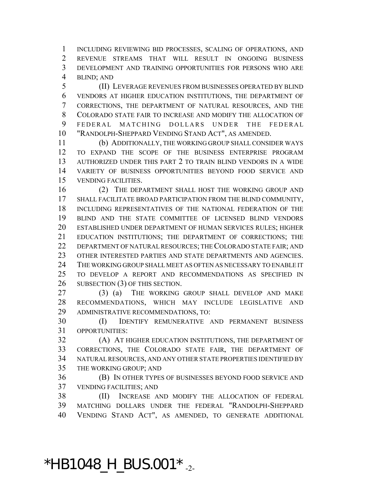INCLUDING REVIEWING BID PROCESSES, SCALING OF OPERATIONS, AND REVENUE STREAMS THAT WILL RESULT IN ONGOING BUSINESS DEVELOPMENT AND TRAINING OPPORTUNITIES FOR PERSONS WHO ARE BLIND; AND

 (II) LEVERAGE REVENUES FROM BUSINESSES OPERATED BY BLIND VENDORS AT HIGHER EDUCATION INSTITUTIONS, THE DEPARTMENT OF CORRECTIONS, THE DEPARTMENT OF NATURAL RESOURCES, AND THE COLORADO STATE FAIR TO INCREASE AND MODIFY THE ALLOCATION OF FEDERAL MATCHING DOLLARS UNDER THE FEDERAL "RANDOLPH-SHEPPARD VENDING STAND ACT", AS AMENDED.

 (b) ADDITIONALLY, THE WORKING GROUP SHALL CONSIDER WAYS TO EXPAND THE SCOPE OF THE BUSINESS ENTERPRISE PROGRAM AUTHORIZED UNDER THIS PART 2 TO TRAIN BLIND VENDORS IN A WIDE VARIETY OF BUSINESS OPPORTUNITIES BEYOND FOOD SERVICE AND VENDING FACILITIES.

 (2) THE DEPARTMENT SHALL HOST THE WORKING GROUP AND SHALL FACILITATE BROAD PARTICIPATION FROM THE BLIND COMMUNITY, INCLUDING REPRESENTATIVES OF THE NATIONAL FEDERATION OF THE BLIND AND THE STATE COMMITTEE OF LICENSED BLIND VENDORS ESTABLISHED UNDER DEPARTMENT OF HUMAN SERVICES RULES; HIGHER EDUCATION INSTITUTIONS; THE DEPARTMENT OF CORRECTIONS; THE DEPARTMENT OF NATURAL RESOURCES; THE COLORADO STATE FAIR; AND OTHER INTERESTED PARTIES AND STATE DEPARTMENTS AND AGENCIES. THE WORKING GROUP SHALL MEET AS OFTEN AS NECESSARY TO ENABLE IT TO DEVELOP A REPORT AND RECOMMENDATIONS AS SPECIFIED IN 26 SUBSECTION (3) OF THIS SECTION.

 (3) (a) THE WORKING GROUP SHALL DEVELOP AND MAKE RECOMMENDATIONS, WHICH MAY INCLUDE LEGISLATIVE AND ADMINISTRATIVE RECOMMENDATIONS, TO:

 (I) IDENTIFY REMUNERATIVE AND PERMANENT BUSINESS OPPORTUNITIES:

 (A) AT HIGHER EDUCATION INSTITUTIONS, THE DEPARTMENT OF CORRECTIONS, THE COLORADO STATE FAIR, THE DEPARTMENT OF NATURAL RESOURCES, AND ANY OTHER STATE PROPERTIES IDENTIFIED BY THE WORKING GROUP; AND

 (B) IN OTHER TYPES OF BUSINESSES BEYOND FOOD SERVICE AND VENDING FACILITIES; AND

 (II) INCREASE AND MODIFY THE ALLOCATION OF FEDERAL MATCHING DOLLARS UNDER THE FEDERAL "RANDOLPH-SHEPPARD VENDING STAND ACT", AS AMENDED, TO GENERATE ADDITIONAL

 $*$ HB1048\_H\_BUS.001 $*$ <sub>-2-</sub>